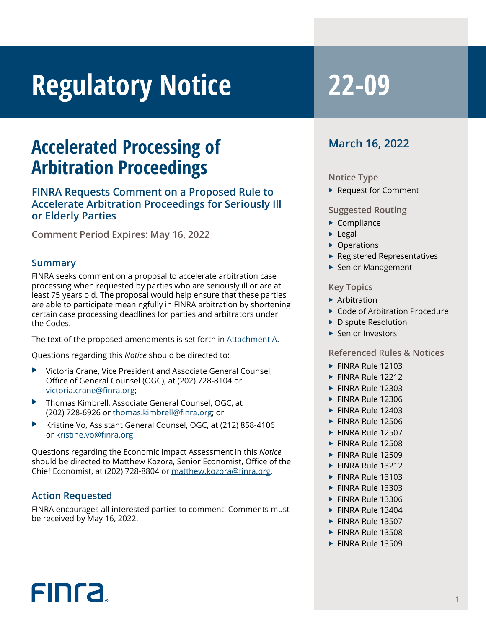# **Regulatory Notice 22-09**

## **Accelerated Processing of Arbitration Proceedings**

#### **FINRA Requests Comment on a Proposed Rule to Accelerate Arbitration Proceedings for Seriously Ill or Elderly Parties**

**Comment Period Expires: May 16, 2022**

#### **Summary**

FINRA seeks comment on a proposal to accelerate arbitration case processing when requested by parties who are seriously ill or are at least 75 years old. The proposal would help ensure that these parties are able to participate meaningfully in FINRA arbitration by shortening certain case processing deadlines for parties and arbitrators under the Codes.

The text of the proposed amendments is set forth in [Attachment A](https://www.finra.org/sites/default/files/2022-03/Attachment-A-Accelerated-Processing-of-Arbitration.pdf ).

Questions regarding this *Notice* should be directed to:

- Victoria Crane, Vice President and Associate General Counsel, Office of General Counsel (OGC), at (202) 728-8104 or [victoria.crane@finra.org;](mailto:victoria.crane@finra.org)
- ▶ Thomas Kimbrell, Associate General Counsel, OGC, at (202) 728-6926 or [thomas.kimbrell@finra.org](mailto:thomas.kimbrell@finra.org); or
- X Kristine Vo, Assistant General Counsel, OGC, at (212) 858-4106 or [kristine.vo@finra.org.](mailto:kristine.vo@finra.org)

Questions regarding the Economic Impact Assessment in this *Notice* should be directed to Matthew Kozora, Senior Economist, Office of the Chief Economist, at (202) 728-8804 or [matthew.kozora@finra.org.](mailto:matthew.kozora@finra.org)

#### **Action Requested**

FIN<sub>ra</sub>

FINRA encourages all interested parties to comment. Comments must be received by May 16, 2022.

### **March 16, 2022**

#### **Notice Type**

 $\blacktriangleright$  Request for Comment

#### **Suggested Routing**

- $\blacktriangleright$  Compliance
- $\blacktriangleright$  Legal
- $\triangleright$  Operations
- $\blacktriangleright$  Registered Representatives
- $\blacktriangleright$  Senior Management

#### **Key Topics**

- $\blacktriangleright$  Arbitration
- $\triangleright$  Code of Arbitration Procedure
- $\blacktriangleright$  Dispute Resolution
- $\blacktriangleright$  Senior Investors

#### **Referenced Rules & Notices**

- $\blacktriangleright$  FINRA Rule 12103
- $\blacktriangleright$  FINRA Rule 12212
- $\blacktriangleright$  FINRA Rule 12303
- $\blacktriangleright$  FINRA Rule 12306
- $\blacktriangleright$  FINRA Rule 12403
- $\blacktriangleright$  FINRA Rule 12506
- $\blacktriangleright$  FINRA Rule 12507
- $\blacktriangleright$  FINRA Rule 12508
- $\blacktriangleright$  FINRA Rule 12509
- $\blacktriangleright$  FINRA Rule 13212
- $\blacktriangleright$  FINRA Rule 13103
- $\blacktriangleright$  FINRA Rule 13303
- $\blacktriangleright$  FINRA Rule 13306
- $\blacktriangleright$  FINRA Rule 13404
- $\blacktriangleright$  FINRA Rule 13507
- $\blacktriangleright$  FINRA Rule 13508
- $\blacktriangleright$  FINRA Rule 13509

1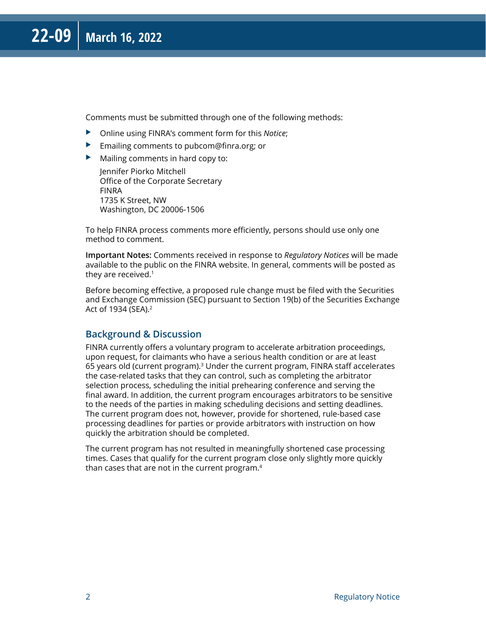Comments must be submitted through one of the following methods:

- ▶ Online using FINRA's comment form for this *Notice*;
- $\blacktriangleright$  Emailing comments to pubcom@finra.org; or
- $\blacktriangleright$  Mailing comments in hard copy to:

Jennifer Piorko Mitchell Office of the Corporate Secretary FINRA 1735 K Street, NW Washington, DC 20006-1506

To help FINRA process comments more efficiently, persons should use only one method to comment.

**Important Notes:** Comments received in response to *Regulatory Notices* will be made available to the public on the FINRA website. In general, comments will be posted as they are received.<sup>1</sup>

Before becoming effective, a proposed rule change must be filed with the Securities and Exchange Commission (SEC) pursuant to Section 19(b) of the Securities Exchange Act of 1934 (SEA).2

#### **Background & Discussion**

FINRA currently offers a voluntary program to accelerate arbitration proceedings, upon request, for claimants who have a serious health condition or are at least 65 years old (current program).3 Under the current program, FINRA staff accelerates the case-related tasks that they can control, such as completing the arbitrator selection process, scheduling the initial prehearing conference and serving the final award. In addition, the current program encourages arbitrators to be sensitive to the needs of the parties in making scheduling decisions and setting deadlines. The current program does not, however, provide for shortened, rule-based case processing deadlines for parties or provide arbitrators with instruction on how quickly the arbitration should be completed.

The current program has not resulted in meaningfully shortened case processing times. Cases that qualify for the current program close only slightly more quickly than cases that are not in the current program.4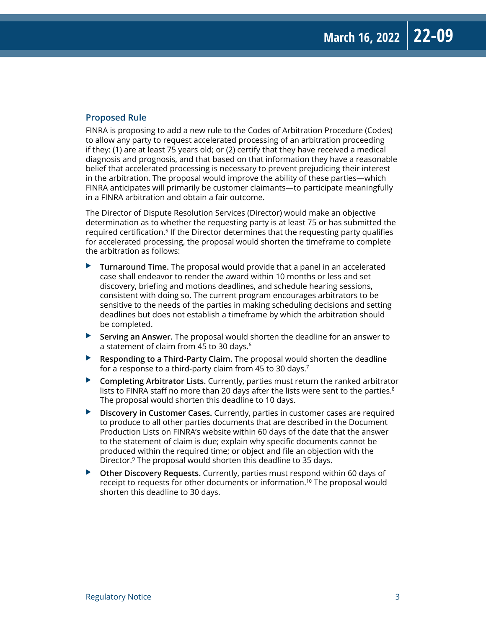#### **Proposed Rule**

FINRA is proposing to add a new rule to the Codes of Arbitration Procedure (Codes) to allow any party to request accelerated processing of an arbitration proceeding if they: (1) are at least 75 years old; or (2) certify that they have received a medical diagnosis and prognosis, and that based on that information they have a reasonable belief that accelerated processing is necessary to prevent prejudicing their interest in the arbitration. The proposal would improve the ability of these parties—which FINRA anticipates will primarily be customer claimants—to participate meaningfully in a FINRA arbitration and obtain a fair outcome.

The Director of Dispute Resolution Services (Director) would make an objective determination as to whether the requesting party is at least 75 or has submitted the required certification.5 If the Director determines that the requesting party qualifies for accelerated processing, the proposal would shorten the timeframe to complete the arbitration as follows:

- $\blacktriangleright$  **Turnaround Time.** The proposal would provide that a panel in an accelerated case shall endeavor to render the award within 10 months or less and set discovery, briefing and motions deadlines, and schedule hearing sessions, consistent with doing so. The current program encourages arbitrators to be sensitive to the needs of the parties in making scheduling decisions and setting deadlines but does not establish a timeframe by which the arbitration should be completed.
- X **Serving an Answer.** The proposal would shorten the deadline for an answer to a statement of claim from 45 to 30 days.6
- **Responding to a Third-Party Claim.** The proposal would shorten the deadline for a response to a third-party claim from 45 to 30 days.<sup>7</sup>
- ▶ **Completing Arbitrator Lists.** Currently, parties must return the ranked arbitrator lists to FINRA staff no more than 20 days after the lists were sent to the parties. $8$ The proposal would shorten this deadline to 10 days.
- **Discovery in Customer Cases.** Currently, parties in customer cases are required to produce to all other parties documents that are described in the Document Production Lists on FINRA's website within 60 days of the date that the answer to the statement of claim is due; explain why specific documents cannot be produced within the required time; or object and file an objection with the Director.<sup>9</sup> The proposal would shorten this deadline to 35 days.
- **Other Discovery Requests.** Currently, parties must respond within 60 days of receipt to requests for other documents or information.<sup>10</sup> The proposal would shorten this deadline to 30 days.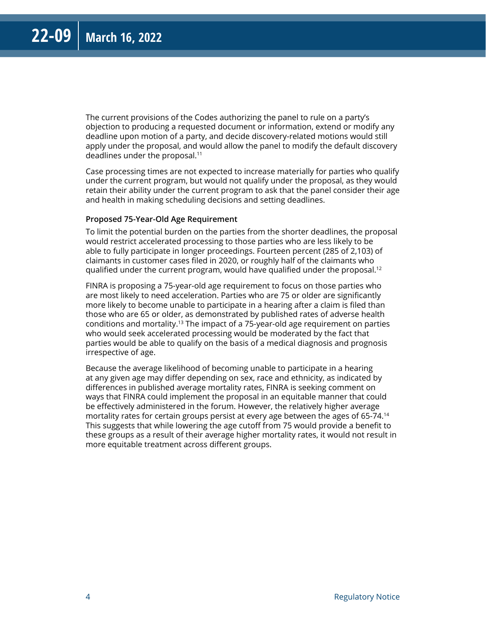The current provisions of the Codes authorizing the panel to rule on a party's objection to producing a requested document or information, extend or modify any deadline upon motion of a party, and decide discovery-related motions would still apply under the proposal, and would allow the panel to modify the default discovery deadlines under the proposal.<sup>11</sup>

Case processing times are not expected to increase materially for parties who qualify under the current program, but would not qualify under the proposal, as they would retain their ability under the current program to ask that the panel consider their age and health in making scheduling decisions and setting deadlines.

#### **Proposed 75-Year-Old Age Requirement**

To limit the potential burden on the parties from the shorter deadlines, the proposal would restrict accelerated processing to those parties who are less likely to be able to fully participate in longer proceedings. Fourteen percent (285 of 2,103) of claimants in customer cases filed in 2020, or roughly half of the claimants who qualified under the current program, would have qualified under the proposal.<sup>12</sup>

FINRA is proposing a 75-year-old age requirement to focus on those parties who are most likely to need acceleration. Parties who are 75 or older are significantly more likely to become unable to participate in a hearing after a claim is filed than those who are 65 or older, as demonstrated by published rates of adverse health conditions and mortality.<sup>13</sup> The impact of a 75-year-old age requirement on parties who would seek accelerated processing would be moderated by the fact that parties would be able to qualify on the basis of a medical diagnosis and prognosis irrespective of age.

Because the average likelihood of becoming unable to participate in a hearing at any given age may differ depending on sex, race and ethnicity, as indicated by differences in published average mortality rates, FINRA is seeking comment on ways that FINRA could implement the proposal in an equitable manner that could be effectively administered in the forum. However, the relatively higher average mortality rates for certain groups persist at every age between the ages of 65-74.14 This suggests that while lowering the age cutoff from 75 would provide a benefit to these groups as a result of their average higher mortality rates, it would not result in more equitable treatment across different groups.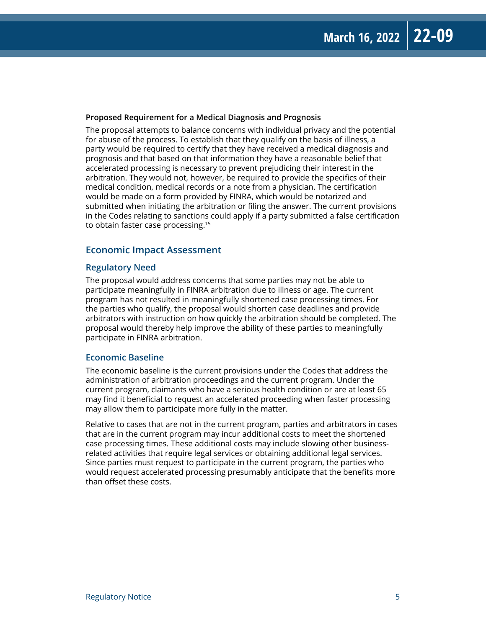#### **Proposed Requirement for a Medical Diagnosis and Prognosis**

The proposal attempts to balance concerns with individual privacy and the potential for abuse of the process. To establish that they qualify on the basis of illness, a party would be required to certify that they have received a medical diagnosis and prognosis and that based on that information they have a reasonable belief that accelerated processing is necessary to prevent prejudicing their interest in the arbitration. They would not, however, be required to provide the specifics of their medical condition, medical records or a note from a physician. The certification would be made on a form provided by FINRA, which would be notarized and submitted when initiating the arbitration or filing the answer. The current provisions in the Codes relating to sanctions could apply if a party submitted a false certification to obtain faster case processing.15

#### **Economic Impact Assessment**

#### **Regulatory Need**

The proposal would address concerns that some parties may not be able to participate meaningfully in FINRA arbitration due to illness or age. The current program has not resulted in meaningfully shortened case processing times. For the parties who qualify, the proposal would shorten case deadlines and provide arbitrators with instruction on how quickly the arbitration should be completed. The proposal would thereby help improve the ability of these parties to meaningfully participate in FINRA arbitration.

#### **Economic Baseline**

The economic baseline is the current provisions under the Codes that address the administration of arbitration proceedings and the current program. Under the current program, claimants who have a serious health condition or are at least 65 may find it beneficial to request an accelerated proceeding when faster processing may allow them to participate more fully in the matter.

Relative to cases that are not in the current program, parties and arbitrators in cases that are in the current program may incur additional costs to meet the shortened case processing times. These additional costs may include slowing other businessrelated activities that require legal services or obtaining additional legal services. Since parties must request to participate in the current program, the parties who would request accelerated processing presumably anticipate that the benefits more than offset these costs.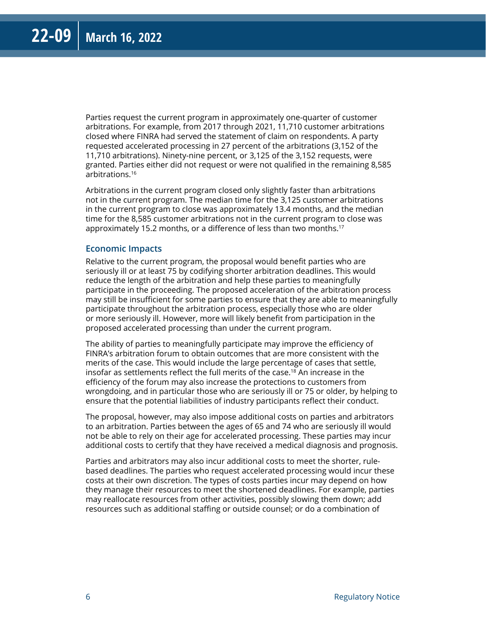Parties request the current program in approximately one-quarter of customer arbitrations. For example, from 2017 through 2021, 11,710 customer arbitrations closed where FINRA had served the statement of claim on respondents. A party requested accelerated processing in 27 percent of the arbitrations (3,152 of the 11,710 arbitrations). Ninety-nine percent, or 3,125 of the 3,152 requests, were granted. Parties either did not request or were not qualified in the remaining 8,585 arbitrations.16

Arbitrations in the current program closed only slightly faster than arbitrations not in the current program. The median time for the 3,125 customer arbitrations in the current program to close was approximately 13.4 months, and the median time for the 8,585 customer arbitrations not in the current program to close was approximately 15.2 months, or a difference of less than two months.<sup>17</sup>

#### **Economic Impacts**

Relative to the current program, the proposal would benefit parties who are seriously ill or at least 75 by codifying shorter arbitration deadlines. This would reduce the length of the arbitration and help these parties to meaningfully participate in the proceeding. The proposed acceleration of the arbitration process may still be insufficient for some parties to ensure that they are able to meaningfully participate throughout the arbitration process, especially those who are older or more seriously ill. However, more will likely benefit from participation in the proposed accelerated processing than under the current program.

The ability of parties to meaningfully participate may improve the efficiency of FINRA's arbitration forum to obtain outcomes that are more consistent with the merits of the case. This would include the large percentage of cases that settle, insofar as settlements reflect the full merits of the case.18 An increase in the efficiency of the forum may also increase the protections to customers from wrongdoing, and in particular those who are seriously ill or 75 or older, by helping to ensure that the potential liabilities of industry participants reflect their conduct.

The proposal, however, may also impose additional costs on parties and arbitrators to an arbitration. Parties between the ages of 65 and 74 who are seriously ill would not be able to rely on their age for accelerated processing. These parties may incur additional costs to certify that they have received a medical diagnosis and prognosis.

Parties and arbitrators may also incur additional costs to meet the shorter, rulebased deadlines. The parties who request accelerated processing would incur these costs at their own discretion. The types of costs parties incur may depend on how they manage their resources to meet the shortened deadlines. For example, parties may reallocate resources from other activities, possibly slowing them down; add resources such as additional staffing or outside counsel; or do a combination of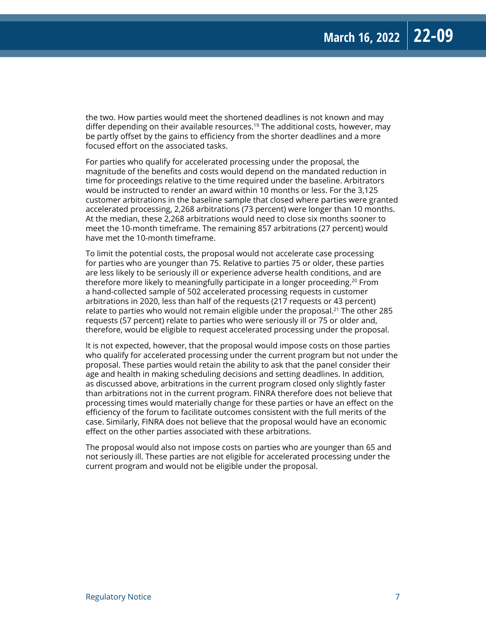the two. How parties would meet the shortened deadlines is not known and may differ depending on their available resources.<sup>19</sup> The additional costs, however, may be partly offset by the gains to efficiency from the shorter deadlines and a more focused effort on the associated tasks.

For parties who qualify for accelerated processing under the proposal, the magnitude of the benefits and costs would depend on the mandated reduction in time for proceedings relative to the time required under the baseline. Arbitrators would be instructed to render an award within 10 months or less. For the 3,125 customer arbitrations in the baseline sample that closed where parties were granted accelerated processing, 2,268 arbitrations (73 percent) were longer than 10 months. At the median, these 2,268 arbitrations would need to close six months sooner to meet the 10-month timeframe. The remaining 857 arbitrations (27 percent) would have met the 10-month timeframe.

To limit the potential costs, the proposal would not accelerate case processing for parties who are younger than 75. Relative to parties 75 or older, these parties are less likely to be seriously ill or experience adverse health conditions, and are therefore more likely to meaningfully participate in a longer proceeding.<sup>20</sup> From a hand-collected sample of 502 accelerated processing requests in customer arbitrations in 2020, less than half of the requests (217 requests or 43 percent) relate to parties who would not remain eligible under the proposal.21 The other 285 requests (57 percent) relate to parties who were seriously ill or 75 or older and, therefore, would be eligible to request accelerated processing under the proposal.

It is not expected, however, that the proposal would impose costs on those parties who qualify for accelerated processing under the current program but not under the proposal. These parties would retain the ability to ask that the panel consider their age and health in making scheduling decisions and setting deadlines. In addition, as discussed above, arbitrations in the current program closed only slightly faster than arbitrations not in the current program. FINRA therefore does not believe that processing times would materially change for these parties or have an effect on the efficiency of the forum to facilitate outcomes consistent with the full merits of the case. Similarly, FINRA does not believe that the proposal would have an economic effect on the other parties associated with these arbitrations.

The proposal would also not impose costs on parties who are younger than 65 and not seriously ill. These parties are not eligible for accelerated processing under the current program and would not be eligible under the proposal.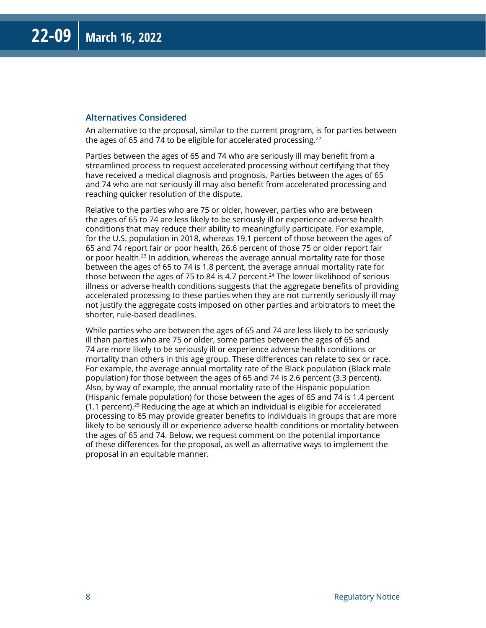#### **Alternatives Considered**

An alternative to the proposal, similar to the current program, is for parties between the ages of 65 and 74 to be eligible for accelerated processing. $22$ 

Parties between the ages of 65 and 74 who are seriously ill may benefit from a streamlined process to request accelerated processing without certifying that they have received a medical diagnosis and prognosis. Parties between the ages of 65 and 74 who are not seriously ill may also benefit from accelerated processing and reaching quicker resolution of the dispute.

Relative to the parties who are 75 or older, however, parties who are between the ages of 65 to 74 are less likely to be seriously ill or experience adverse health conditions that may reduce their ability to meaningfully participate. For example, for the U.S. population in 2018, whereas 19.1 percent of those between the ages of 65 and 74 report fair or poor health, 26.6 percent of those 75 or older report fair or poor health.23 In addition, whereas the average annual mortality rate for those between the ages of 65 to 74 is 1.8 percent, the average annual mortality rate for those between the ages of 75 to 84 is 4.7 percent.<sup>24</sup> The lower likelihood of serious illness or adverse health conditions suggests that the aggregate benefits of providing accelerated processing to these parties when they are not currently seriously ill may not justify the aggregate costs imposed on other parties and arbitrators to meet the shorter, rule-based deadlines.

While parties who are between the ages of 65 and 74 are less likely to be seriously ill than parties who are 75 or older, some parties between the ages of 65 and 74 are more likely to be seriously ill or experience adverse health conditions or mortality than others in this age group. These differences can relate to sex or race. For example, the average annual mortality rate of the Black population (Black male population) for those between the ages of 65 and 74 is 2.6 percent (3.3 percent). Also, by way of example, the annual mortality rate of the Hispanic population (Hispanic female population) for those between the ages of 65 and 74 is 1.4 percent  $(1.1$  percent).<sup>25</sup> Reducing the age at which an individual is eligible for accelerated processing to 65 may provide greater benefits to individuals in groups that are more likely to be seriously ill or experience adverse health conditions or mortality between the ages of 65 and 74. Below, we request comment on the potential importance of these differences for the proposal, as well as alternative ways to implement the proposal in an equitable manner.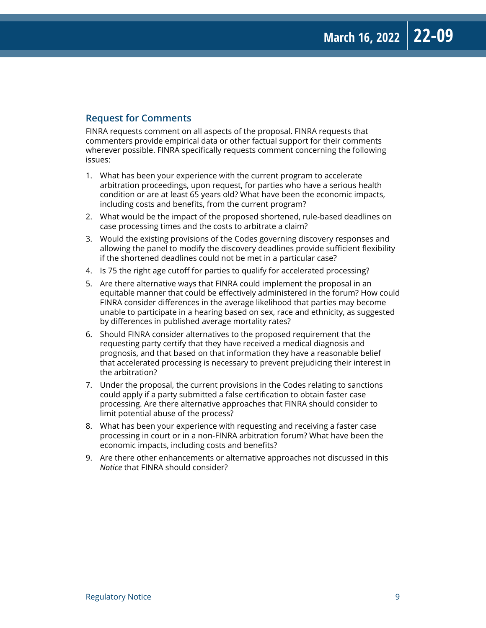#### **Request for Comments**

FINRA requests comment on all aspects of the proposal. FINRA requests that commenters provide empirical data or other factual support for their comments wherever possible. FINRA specifically requests comment concerning the following issues:

- 1. What has been your experience with the current program to accelerate arbitration proceedings, upon request, for parties who have a serious health condition or are at least 65 years old? What have been the economic impacts, including costs and benefits, from the current program?
- 2. What would be the impact of the proposed shortened, rule-based deadlines on case processing times and the costs to arbitrate a claim?
- 3. Would the existing provisions of the Codes governing discovery responses and allowing the panel to modify the discovery deadlines provide sufficient flexibility if the shortened deadlines could not be met in a particular case?
- 4. Is 75 the right age cutoff for parties to qualify for accelerated processing?
- 5. Are there alternative ways that FINRA could implement the proposal in an equitable manner that could be effectively administered in the forum? How could FINRA consider differences in the average likelihood that parties may become unable to participate in a hearing based on sex, race and ethnicity, as suggested by differences in published average mortality rates?
- 6. Should FINRA consider alternatives to the proposed requirement that the requesting party certify that they have received a medical diagnosis and prognosis, and that based on that information they have a reasonable belief that accelerated processing is necessary to prevent prejudicing their interest in the arbitration?
- 7. Under the proposal, the current provisions in the Codes relating to sanctions could apply if a party submitted a false certification to obtain faster case processing. Are there alternative approaches that FINRA should consider to limit potential abuse of the process?
- 8. What has been your experience with requesting and receiving a faster case processing in court or in a non-FINRA arbitration forum? What have been the economic impacts, including costs and benefits?
- 9. Are there other enhancements or alternative approaches not discussed in this *Notice* that FINRA should consider?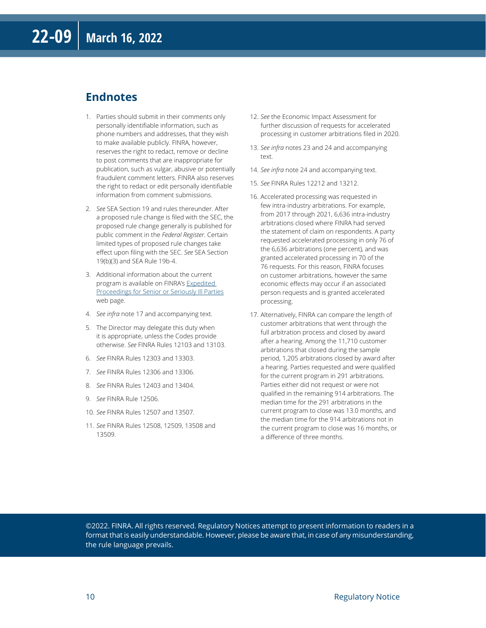#### **Endnotes**

- 1. Parties should submit in their comments only personally identifiable information, such as phone numbers and addresses, that they wish to make available publicly. FINRA, however, reserves the right to redact, remove or decline to post comments that are inappropriate for publication, such as vulgar, abusive or potentially fraudulent comment letters. FINRA also reserves the right to redact or edit personally identifiable information from comment submissions.
- 2. *See* SEA Section 19 and rules thereunder. After a proposed rule change is filed with the SEC, the proposed rule change generally is published for public comment in the *Federal Register*. Certain limited types of proposed rule changes take effect upon filing with the SEC. *See* SEA Section 19(b)(3) and SEA Rule 19b-4.
- 3. Additional information about the current program is available on FINRA's [Expedited](https://www.finra.org/arbitration-mediation/expedited-proceedings-senior-or-seriously-ill-parties)  [Proceedings for Senior or Seriously Ill Parties](https://www.finra.org/arbitration-mediation/expedited-proceedings-senior-or-seriously-ill-parties) web page.
- 4. *See infra* note 17 and accompanying text.
- 5. The Director may delegate this duty when it is appropriate, unless the Codes provide otherwise. *See* FINRA Rules 12103 and 13103.
- 6. *See* FINRA Rules 12303 and 13303.
- 7. *See* FINRA Rules 12306 and 13306.
- 8. *See* FINRA Rules 12403 and 13404.
- 9. *See* FINRA Rule 12506.
- 10. *See* FINRA Rules 12507 and 13507.
- 11. *See* FINRA Rules 12508, 12509, 13508 and 13509.
- 12. *See* the Economic Impact Assessment for further discussion of requests for accelerated processing in customer arbitrations filed in 2020.
- 13. *See infra* notes 23 and 24 and accompanying text.
- 14. *See infra* note 24 and accompanying text.
- 15. *See* FINRA Rules 12212 and 13212.
- 16. Accelerated processing was requested in few intra-industry arbitrations. For example, from 2017 through 2021, 6,636 intra-industry arbitrations closed where FINRA had served the statement of claim on respondents. A party requested accelerated processing in only 76 of the 6,636 arbitrations (one percent), and was granted accelerated processing in 70 of the 76 requests. For this reason, FINRA focuses on customer arbitrations, however the same economic effects may occur if an associated person requests and is granted accelerated processing.
- 17. Alternatively, FINRA can compare the length of customer arbitrations that went through the full arbitration process and closed by award after a hearing. Among the 11,710 customer arbitrations that closed during the sample period, 1,205 arbitrations closed by award after a hearing. Parties requested and were qualified for the current program in 291 arbitrations. Parties either did not request or were not qualified in the remaining 914 arbitrations. The median time for the 291 arbitrations in the current program to close was 13.0 months, and the median time for the 914 arbitrations not in the current program to close was 16 months, or a difference of three months.

©2022. FINRA. All rights reserved. Regulatory Notices attempt to present information to readers in a format that is easily understandable. However, please be aware that, in case of any misunderstanding, the rule language prevails.